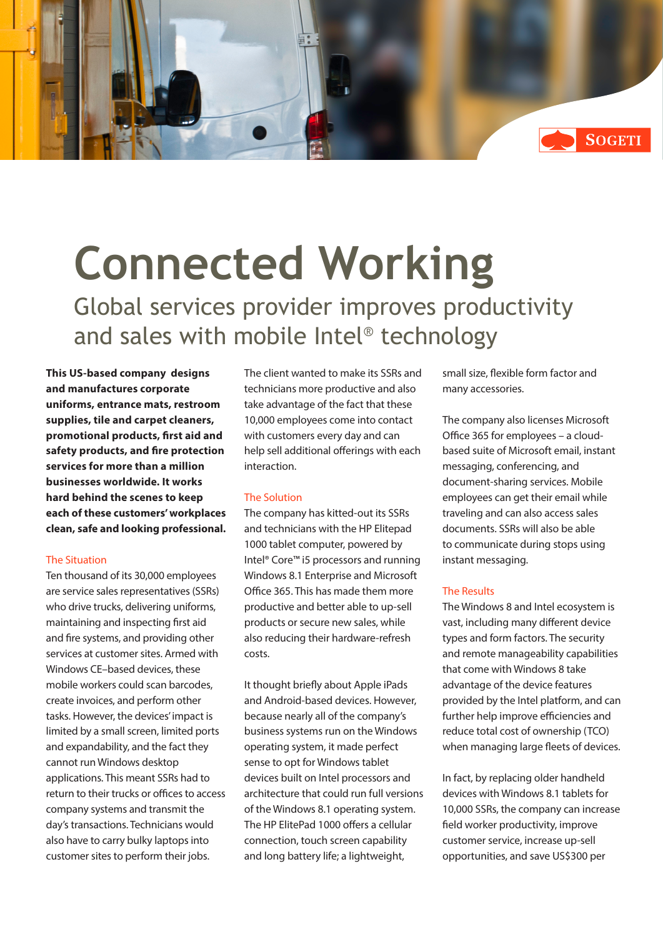

# **Connected Working** Global services provider improves productivity and sales with mobile Intel® technology

**This US-based company designs and manufactures corporate uniforms, entrance mats, restroom supplies, tile and carpet cleaners, promotional products, first aid and safety products, and fire protection services for more than a million businesses worldwide. It works hard behind the scenes to keep each of these customers' workplaces clean, safe and looking professional.**

### The Situation

Ten thousand of its 30,000 employees are service sales representatives (SSRs) who drive trucks, delivering uniforms, maintaining and inspecting first aid and fire systems, and providing other services at customer sites. Armed with Windows CE–based devices, these mobile workers could scan barcodes, create invoices, and perform other tasks. However, the devices' impact is limited by a small screen, limited ports and expandability, and the fact they cannot run Windows desktop applications. This meant SSRs had to return to their trucks or offices to access company systems and transmit the day's transactions. Technicians would also have to carry bulky laptops into customer sites to perform their jobs.

The client wanted to make its SSRs and technicians more productive and also take advantage of the fact that these 10,000 employees come into contact with customers every day and can help sell additional offerings with each interaction.

### The Solution

The company has kitted-out its SSRs and technicians with the HP Elitepad 1000 tablet computer, powered by Intel® Core™ i5 processors and running Windows 8.1 Enterprise and Microsoft Office 365. This has made them more productive and better able to up-sell products or secure new sales, while also reducing their hardware-refresh costs.

It thought briefly about Apple iPads and Android-based devices. However, because nearly all of the company's business systems run on the Windows operating system, it made perfect sense to opt for Windows tablet devices built on Intel processors and architecture that could run full versions of the Windows 8.1 operating system. The HP ElitePad 1000 offers a cellular connection, touch screen capability and long battery life; a lightweight,

small size, flexible form factor and many accessories.

The company also licenses Microsoft Office 365 for employees – a cloudbased suite of Microsoft email, instant messaging, conferencing, and document-sharing services. Mobile employees can get their email while traveling and can also access sales documents. SSRs will also be able to communicate during stops using instant messaging.

## The Results

The Windows 8 and Intel ecosystem is vast, including many different device types and form factors. The security and remote manageability capabilities that come with Windows 8 take advantage of the device features provided by the Intel platform, and can further help improve efficiencies and reduce total cost of ownership (TCO) when managing large fleets of devices.

In fact, by replacing older handheld devices with Windows 8.1 tablets for 10,000 SSRs, the company can increase field worker productivity, improve customer service, increase up-sell opportunities, and save US\$300 per